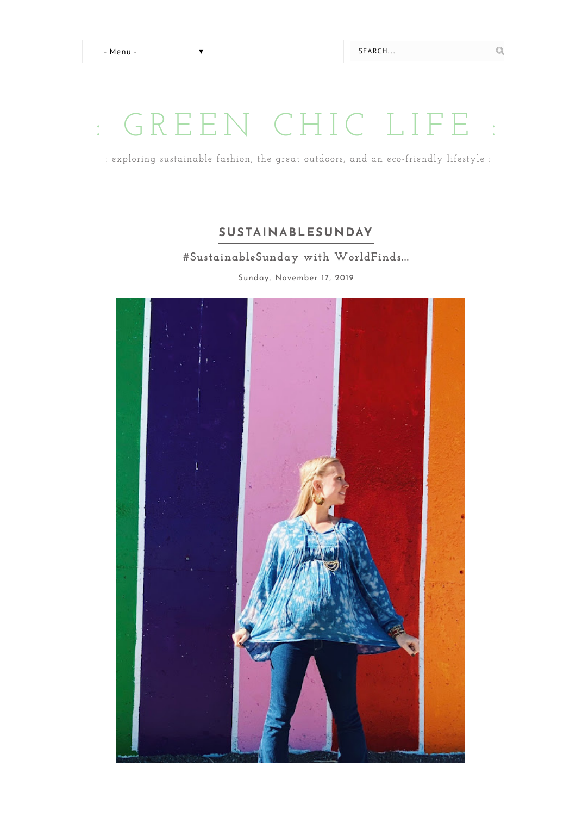## GREE[N](http://greenchiclifeblog.blogspot.com/) CHIC LIFE :

: exploring sustainable fashion, the great outdoors, and an eco-friendly lifestyle :

## [SUSTAINABLESUNDAY](http://greenchiclifeblog.blogspot.com/search/label/SustainableSunday?max-results=12)

## #SustainableSunday with WorldFinds...

Sunday, November 17, 2019

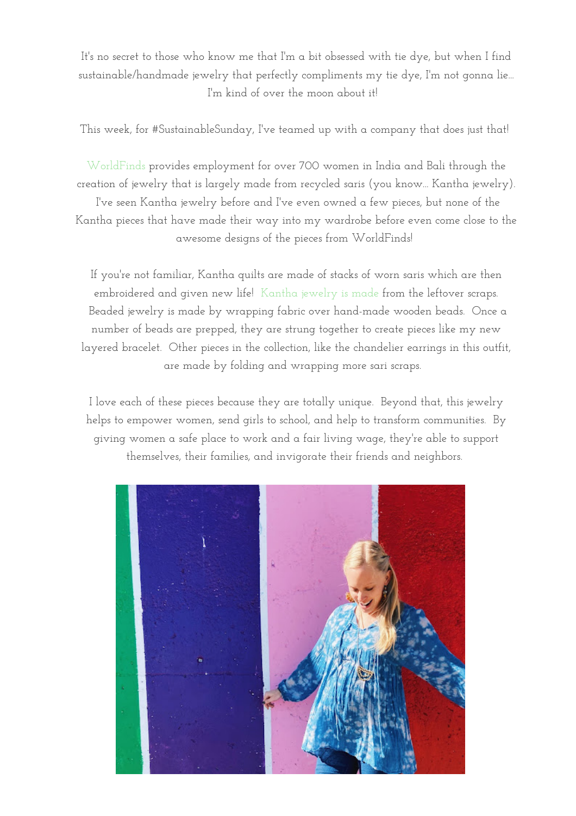It's no secret to those who know me that I'm a bit obsessed with tie dye, but when I find sustainable/handmade jewelry that perfectly compliments my tie dye, I'm not gonna lie... I'm kind of over the moon about it!

This week, for #SustainableSunday, I've teamed up with a company that does just that!

[WorldFinds](https://www.worldfinds.com/about) provides employment for over 700 women in India and Bali through the creation of jewelry that is largely made from recycled saris (you know... Kantha jewelry). I've seen Kantha jewelry before and I've even owned a few pieces, but none of the Kantha pieces that have made their way into my wardrobe before even come close to the awesome designs of the pieces from WorldFinds!

If you're not familiar, Kantha quilts are made of stacks of worn saris which are then embroidered and given new life! [Kantha](https://www.worldfinds.com/how-its-made) jewelry is made from the leftover scraps. Beaded jewelry is made by wrapping fabric over hand-made wooden beads. Once a number of beads are prepped, they are strung together to create pieces like my new layered bracelet. Other pieces in the collection, like the chandelier earrings in this outfit, are made by folding and wrapping more sari scraps.

I love each of these pieces because they are totally unique. Beyond that, this jewelry helps to empower women, send girls to school, and help to transform communities. By giving women a safe place to work and a fair living wage, they're able to support themselves, their families, and invigorate their friends and neighbors.

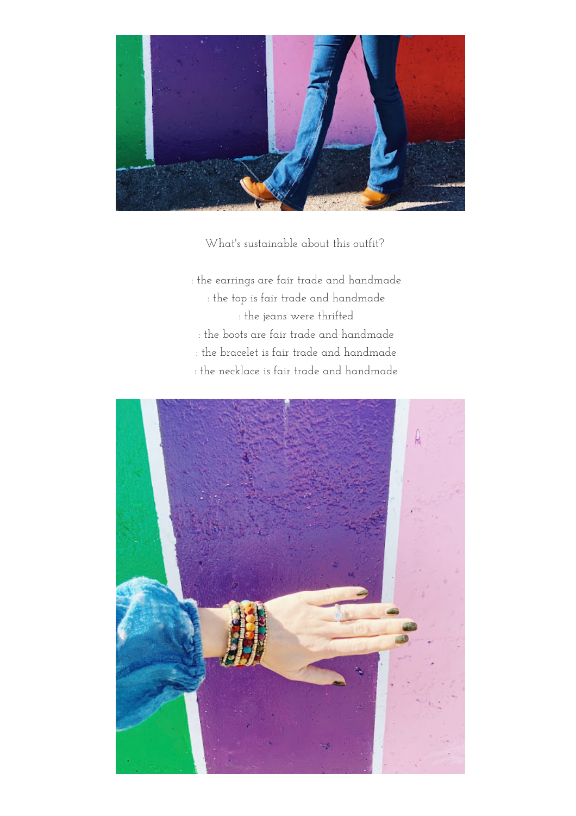

What's sustainable about this outfit?

: the earrings are fair trade and handmade : the top is fair trade and handmade : the jeans were thrifted : the boots are fair trade and handmade : the bracelet is fair trade and handmade : the necklace is fair trade and handmade

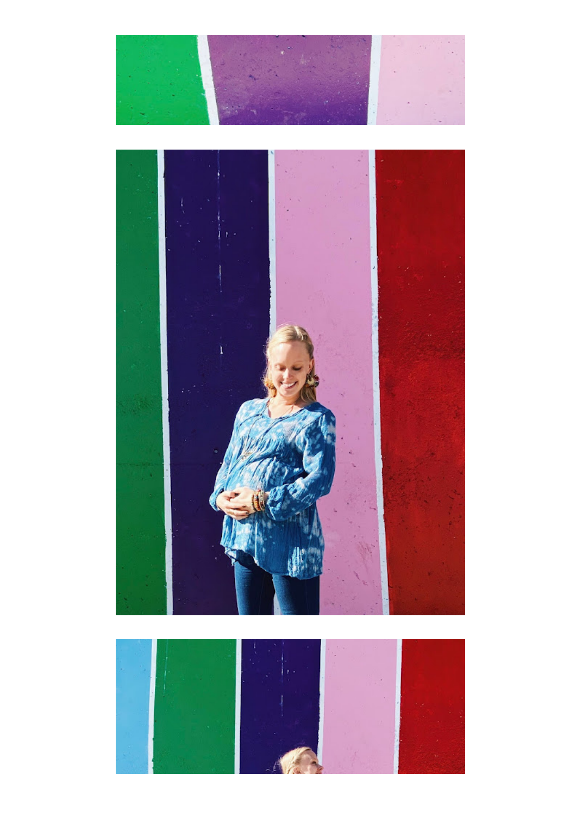

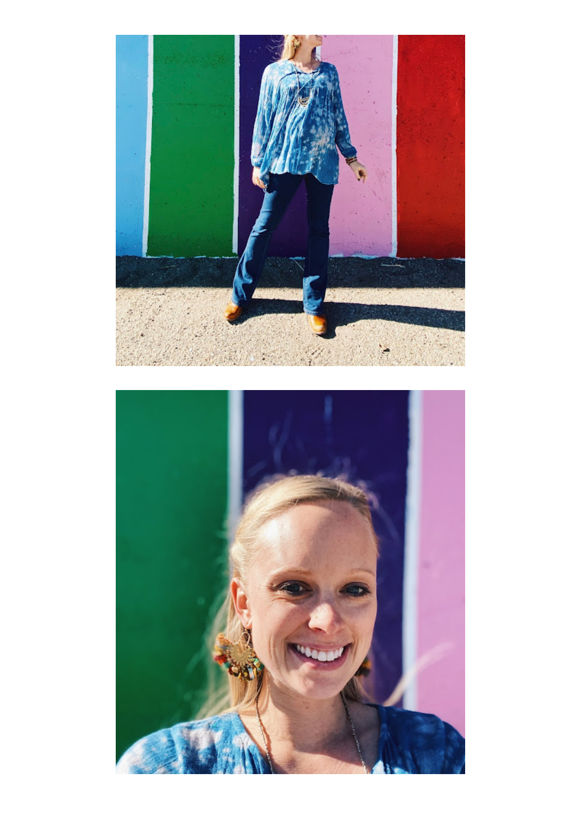